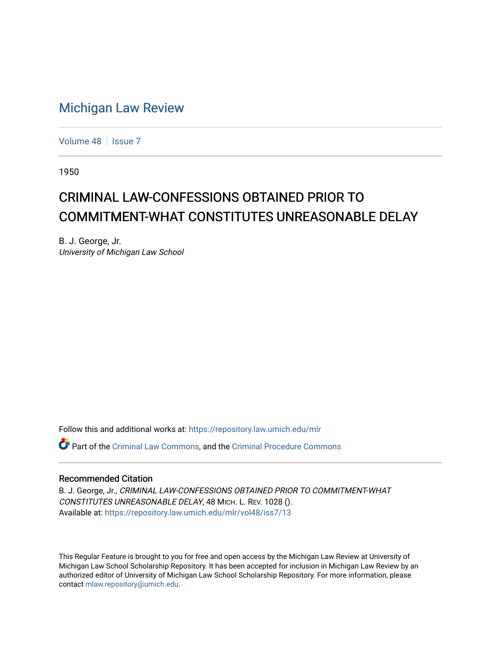## [Michigan Law Review](https://repository.law.umich.edu/mlr)

[Volume 48](https://repository.law.umich.edu/mlr/vol48) | [Issue 7](https://repository.law.umich.edu/mlr/vol48/iss7)

1950

## CRIMINAL LAW-CONFESSIONS OBTAINED PRIOR TO COMMITMENT-WHAT CONSTITUTES UNREASONABLE DELAY

B. J. George, Jr. University of Michigan Law School

Follow this and additional works at: [https://repository.law.umich.edu/mlr](https://repository.law.umich.edu/mlr?utm_source=repository.law.umich.edu%2Fmlr%2Fvol48%2Fiss7%2F13&utm_medium=PDF&utm_campaign=PDFCoverPages) 

Part of the [Criminal Law Commons,](http://network.bepress.com/hgg/discipline/912?utm_source=repository.law.umich.edu%2Fmlr%2Fvol48%2Fiss7%2F13&utm_medium=PDF&utm_campaign=PDFCoverPages) and the [Criminal Procedure Commons](http://network.bepress.com/hgg/discipline/1073?utm_source=repository.law.umich.edu%2Fmlr%2Fvol48%2Fiss7%2F13&utm_medium=PDF&utm_campaign=PDFCoverPages)

## Recommended Citation

B. J. George, Jr., CRIMINAL LAW-CONFESSIONS OBTAINED PRIOR TO COMMITMENT-WHAT CONSTITUTES UNREASONABLE DELAY, 48 MICH. L. REV. 1028 (). Available at: [https://repository.law.umich.edu/mlr/vol48/iss7/13](https://repository.law.umich.edu/mlr/vol48/iss7/13?utm_source=repository.law.umich.edu%2Fmlr%2Fvol48%2Fiss7%2F13&utm_medium=PDF&utm_campaign=PDFCoverPages) 

This Regular Feature is brought to you for free and open access by the Michigan Law Review at University of Michigan Law School Scholarship Repository. It has been accepted for inclusion in Michigan Law Review by an authorized editor of University of Michigan Law School Scholarship Repository. For more information, please contact [mlaw.repository@umich.edu](mailto:mlaw.repository@umich.edu).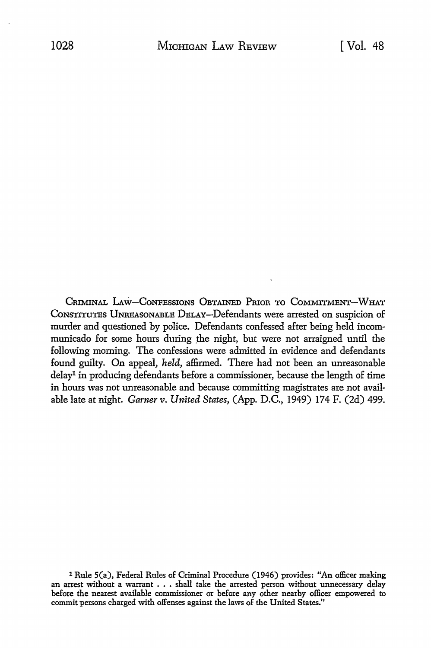CRIMINAL LAW-CONFESSIONS OBTAINED PRIOR TO COMMITMENT-WHAT CONSTITUTES UNREASONABLE DELAY-Defendants were arrested on suspicion of murder and questioned by police. Defendants confessed after being held incommunicado for some hours during the night, but were not arraigned until the following morning. The confessions were admitted in evidence and defendants found guilty. On appeal, *held,* affirmed. There had not been an unreasonable delay1 in producing defendants before a commissioner, because the length of time in hours was not unreasonable and because committing magistrates are not available late at night. *Garner* v. *United States,* (App. D.C., 1949) 174 F. (2d) 499.

<sup>1</sup> Rule S(a), Federal Rules of Criminal Procedure (1946) provides: "An officer making an arrest without a warrant . . . shall take the arrested person without unnecessary delay before the nearest available commissioner or before any other nearby officer empowered to commit persons charged with offenses against the laws of the United States."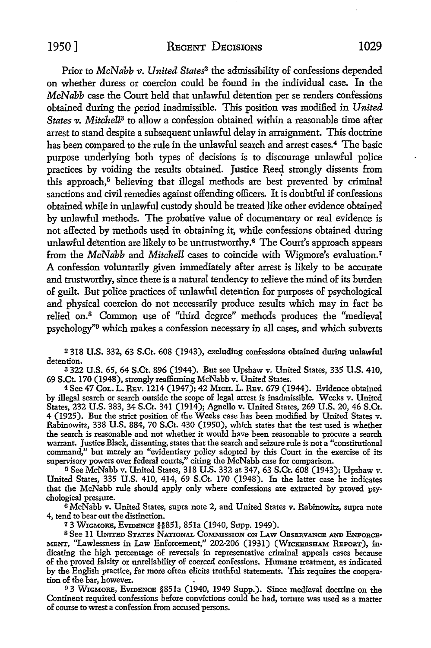Prior to *McNabb v. United States<sup>2</sup>* the admissibility of confessions depended on whether duress or coercion could be found in the individual case. In the *McNabb* case the Court held that unlawful detention per se renders confessions obtained during the period inadmissible. This position was modified in *United States v. Mitchell<sup>3</sup>* to allow a confession obtained within a reasonable time after arrest to stand despite a subsequent unlawful delay in arraignment. This doctrine has been compared to the rule in the unlawful search and arrest cases.<sup>4</sup> The basic purpose underlying both types of decisions is to discourage unlawful police practices by voiding the results obtained. Justice Reed strongly dissents from this approach,<sup>5</sup> believing that illegal methods are best prevented by criminal sanctions and civil remedies against offending officers. It is doubtful if confessions obtained while in unlawful custody should be treated like other evidence obtained by unlawful methods. The probative value of documentary or real evidence is not affected by methods used in obtaining it, while confessions obtained during unlawful detention are likely to be untrustworthy.6 The Court's approach appears from the *McNabb* and *Mitchell* cases to coincide with Wigmore's evaluation.<sup>7</sup> A confession voluntarily given immediately after arrest is likely to be accurate and trustworthy, since there is a natural tendency to relieve the mind of its burden of guilt But police practices of unlawful detention for purposes of psychological and physical coercion do not necessarily produce results which may in fact be relied on.<sup>8</sup> Common use of "third degree" methods produces the "medieval psychology"9 which makes a confession necessary in all cases, and which subverts

2 318 U.S. 332, 63 S.Ct. 608 (1943), excluding confessions obtained during unlawful detention.

a 322 U.S. 65, 64 S.Ct. 896 (1944). But see Upshaw v. United States, 335 U.S. 410, 69 S.Ct. 170 (1948), strongly reaffirming McNabb v. United States.

<sup>4</sup>See 47 CoL. L. REv. 1214 (1947); 42 MICH. L. REv. 679 (1944). Evidence obtained by illegal search or search outside the scope of legal arrest is inadmissible. Weeks v. United States, 232 U.S. 383, 34 S.Ct. 341 (1914); Agnello v. United States, 269 U.S. 20, 46 S.Ct. 4 (1925). But the strict position of the Weeks case has been modified by United States v. Rabinowitz, 338 U.S. 884, 70 S.Ct. 430 (1950), which states that the test used is whether the search is reasonable and not whether it would have been reasonable to procure a search warrant. Justice Black, dissenting, states that the search and seizure rule is not a "constitutional command," but merely an "evidentiary policy adopted by this Court in the exercise of its supervisory powers over federal courts," citing the McNabb case for comparison.

<sup>5</sup> See McNabb v. United States, 318 U.S. 332 at 347, 63 S.Ct. 608 (1943); Upshaw v. United States, 335 U.S. 410, 414, 69 S.Ct. 170 (1948). In the latter case he indicates that the McNabb rule should apply only where confessions are extracted by proved psychological pressure.

 $\overline{6}$  McNabb v. United States, supra note 2, and United States v. Rabinowitz, supra note 4, tend to bear out the distinction.

7 3 WIGMORE, EvrnENCE §§851, 851a (1940, Supp. 1949).

8 See 11 UNITED STATES NATIONAL COMMISSION ON LAW OBSERVANCE AND ENFORCE-MENT, "Lawlessness in Law Enforcement," 202-206 (1931) (WICKERSHAM REPORT), :indicating the high percentage of reversals in representative criminal appeals cases because of the proved falsity or unreliability of coerced confessions. Humane treatment, as indicated by the English practice, far more often elicits truthful statements. This requires the cooperation of the bar, however.

93 WIGMORE, EVIDENCE §851a (1940, 1949 Supp.). Since medieval doctrine on the Continent required confessions before convictions could be had, torture was used as a matter of course to wrest a confession from accused persons.